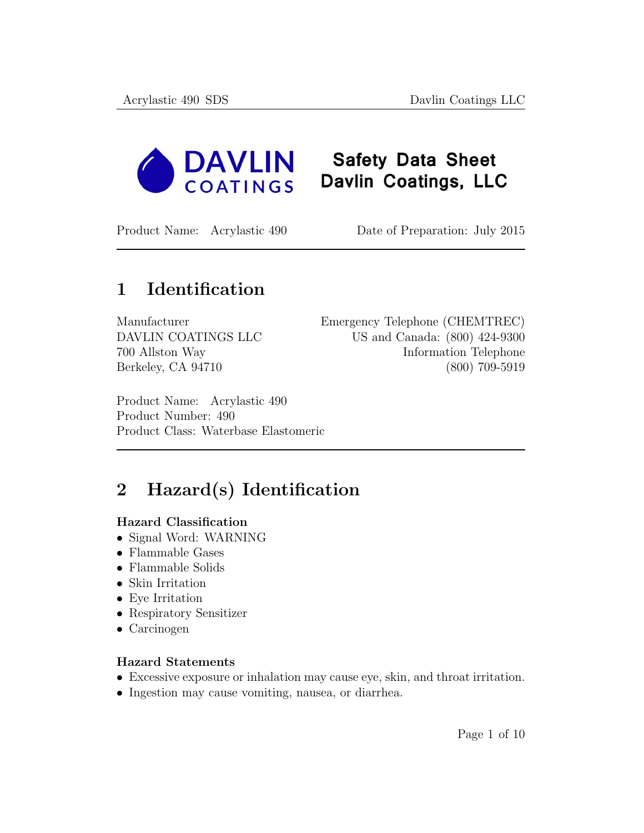

## **Safety Data Sheet** Davlin Coatings, LLC

Product Name: Acrylastic 490 Date of Preparation: July 2015

## 1 Identification

Manufacturer Emergency Telephone (CHEMTREC) DAVLIN COATINGS LLC US and Canada: (800) 424-9300 700 Allston Way Information Telephone Berkeley, CA 94710 (800) 709-5919

Product Name: Acrylastic 490 Product Number: 490 Product Class: Waterbase Elastomeric

# 2 Hazard(s) Identification

#### Hazard Classification

- Signal Word: WARNING
- Flammable Gases
- Flammable Solids
- Skin Irritation
- Eye Irritation
- Respiratory Sensitizer
- Carcinogen

#### Hazard Statements

- Excessive exposure or inhalation may cause eye, skin, and throat irritation.
- Ingestion may cause vomiting, nausea, or diarrhea.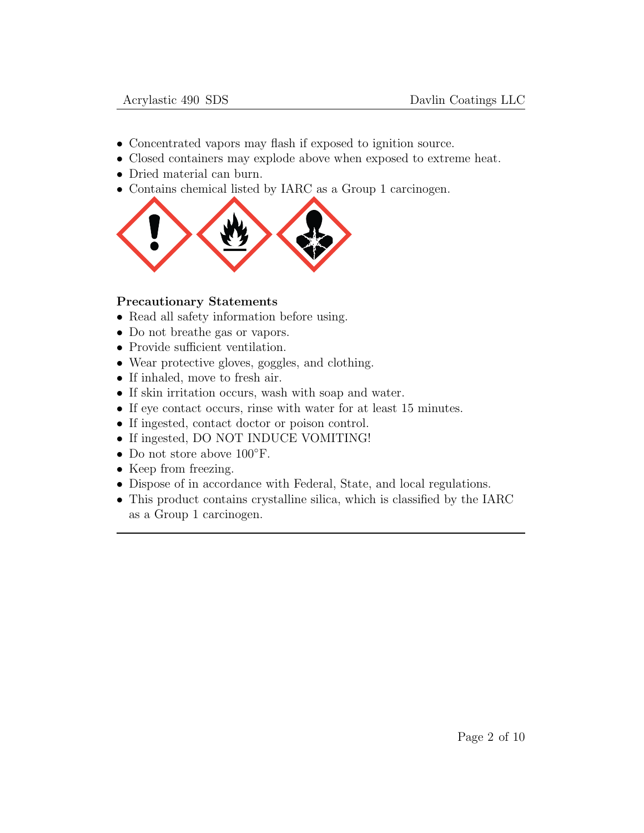- Concentrated vapors may flash if exposed to ignition source.
- Closed containers may explode above when exposed to extreme heat.
- Dried material can burn.
- Contains chemical listed by IARC as a Group 1 carcinogen.



#### Precautionary Statements

- Read all safety information before using.
- Do not breathe gas or vapors.
- Provide sufficient ventilation.
- Wear protective gloves, goggles, and clothing.
- If inhaled, move to fresh air.
- If skin irritation occurs, wash with soap and water.
- If eye contact occurs, rinse with water for at least 15 minutes.
- If ingested, contact doctor or poison control.
- If ingested, DO NOT INDUCE VOMITING!
- Do not store above 100◦F.
- Keep from freezing.
- Dispose of in accordance with Federal, State, and local regulations.
- This product contains crystalline silica, which is classified by the IARC as a Group 1 carcinogen.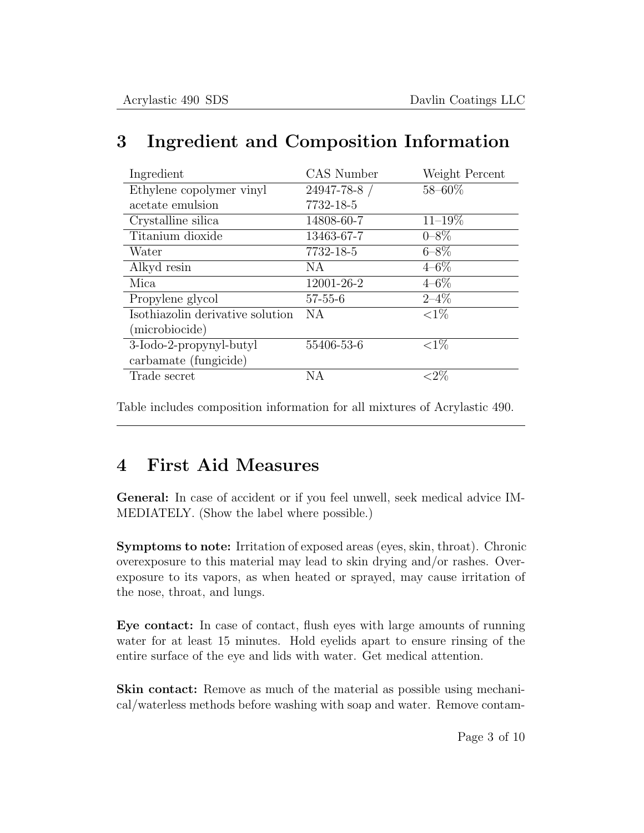| Ingredient                       | CAS Number    | Weight Percent |
|----------------------------------|---------------|----------------|
| Ethylene copolymer vinyl         | 24947-78-8 /  | $58 - 60\%$    |
| acetate emulsion                 | 7732-18-5     |                |
| Crystalline silica               | 14808-60-7    | $11 - 19\%$    |
| Titanium dioxide                 | 13463-67-7    | $0 - 8\%$      |
| Water                            | 7732-18-5     | $6 - 8\%$      |
| Alkyd resin                      | NA.           | $4 - 6\%$      |
| Mica                             | 12001-26-2    | $4 - 6\%$      |
| Propylene glycol                 | $57 - 55 - 6$ | $2 - 4\%$      |
| Isothiazolin derivative solution | NA.           | ${<}1\%$       |
| (microbiocide)                   |               |                |
| 3-Iodo-2-propynyl-butyl          | 55406-53-6    | ${<}1\%$       |
| carbamate (fungicide)            |               |                |
| Trade secret                     | ΝA            |                |

## 3 Ingredient and Composition Information

Table includes composition information for all mixtures of Acrylastic 490.

## 4 First Aid Measures

General: In case of accident or if you feel unwell, seek medical advice IM-MEDIATELY. (Show the label where possible.)

Symptoms to note: Irritation of exposed areas (eyes, skin, throat). Chronic overexposure to this material may lead to skin drying and/or rashes. Overexposure to its vapors, as when heated or sprayed, may cause irritation of the nose, throat, and lungs.

Eye contact: In case of contact, flush eyes with large amounts of running water for at least 15 minutes. Hold eyelids apart to ensure rinsing of the entire surface of the eye and lids with water. Get medical attention.

Skin contact: Remove as much of the material as possible using mechanical/waterless methods before washing with soap and water. Remove contam-

Page 3 of 10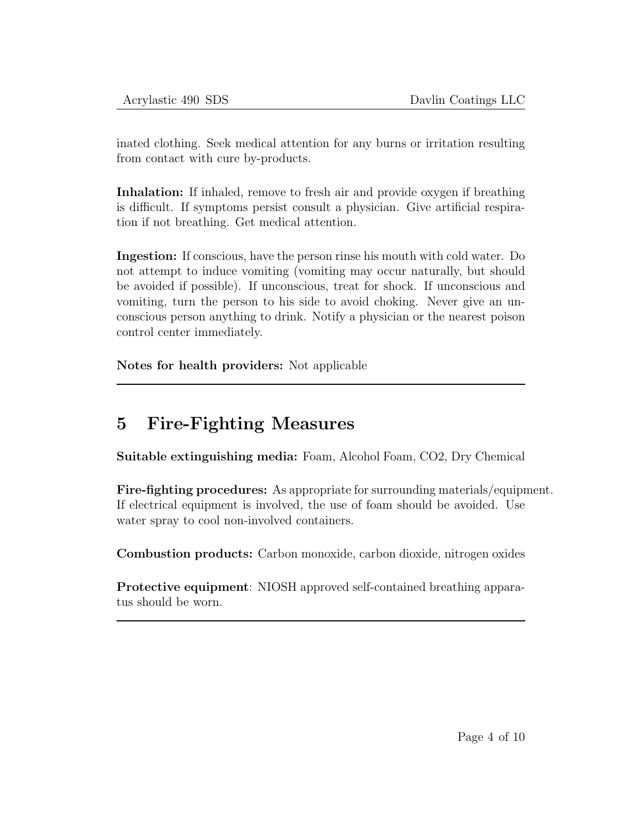inated clothing. Seek medical attention for any burns or irritation resulting from contact with cure by-products.

Inhalation: If inhaled, remove to fresh air and provide oxygen if breathing is difficult. If symptoms persist consult a physician. Give artificial respiration if not breathing. Get medical attention.

Ingestion: If conscious, have the person rinse his mouth with cold water. Do not attempt to induce vomiting (vomiting may occur naturally, but should be avoided if possible). If unconscious, treat for shock. If unconscious and vomiting, turn the person to his side to avoid choking. Never give an unconscious person anything to drink. Notify a physician or the nearest poison control center immediately.

Notes for health providers: Not applicable

## 5 Fire-Fighting Measures

Suitable extinguishing media: Foam, Alcohol Foam, CO2, Dry Chemical

Fire-fighting procedures: As appropriate for surrounding materials/equipment. If electrical equipment is involved, the use of foam should be avoided. Use water spray to cool non-involved containers.

Combustion products: Carbon monoxide, carbon dioxide, nitrogen oxides

Protective equipment: NIOSH approved self-contained breathing apparatus should be worn.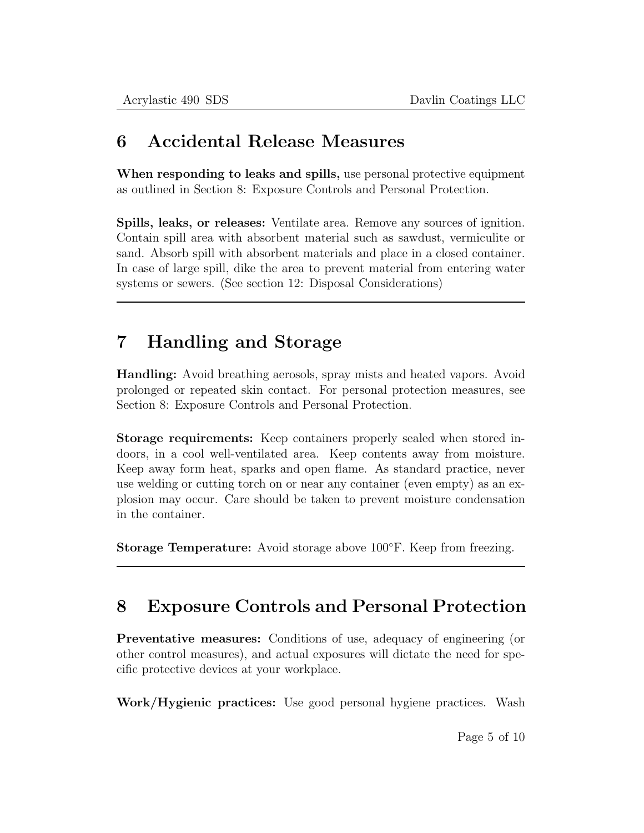### 6 Accidental Release Measures

When responding to leaks and spills, use personal protective equipment as outlined in Section 8: Exposure Controls and Personal Protection.

Spills, leaks, or releases: Ventilate area. Remove any sources of ignition. Contain spill area with absorbent material such as sawdust, vermiculite or sand. Absorb spill with absorbent materials and place in a closed container. In case of large spill, dike the area to prevent material from entering water systems or sewers. (See section 12: Disposal Considerations)

## 7 Handling and Storage

Handling: Avoid breathing aerosols, spray mists and heated vapors. Avoid prolonged or repeated skin contact. For personal protection measures, see Section 8: Exposure Controls and Personal Protection.

Storage requirements: Keep containers properly sealed when stored indoors, in a cool well-ventilated area. Keep contents away from moisture. Keep away form heat, sparks and open flame. As standard practice, never use welding or cutting torch on or near any container (even empty) as an explosion may occur. Care should be taken to prevent moisture condensation in the container.

Storage Temperature: Avoid storage above 100◦F. Keep from freezing.

## 8 Exposure Controls and Personal Protection

Preventative measures: Conditions of use, adequacy of engineering (or other control measures), and actual exposures will dictate the need for specific protective devices at your workplace.

Work/Hygienic practices: Use good personal hygiene practices. Wash

Page 5 of 10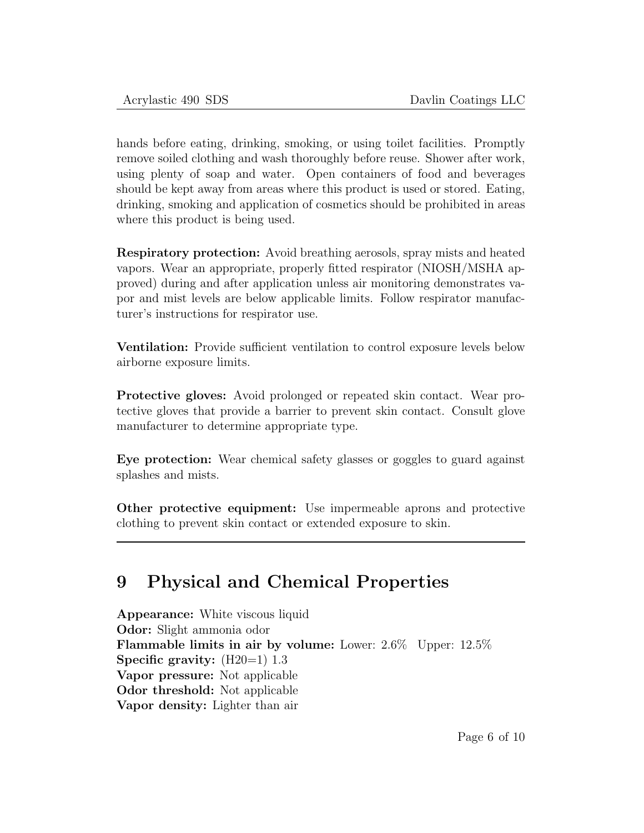hands before eating, drinking, smoking, or using toilet facilities. Promptly remove soiled clothing and wash thoroughly before reuse. Shower after work, using plenty of soap and water. Open containers of food and beverages should be kept away from areas where this product is used or stored. Eating, drinking, smoking and application of cosmetics should be prohibited in areas where this product is being used.

Respiratory protection: Avoid breathing aerosols, spray mists and heated vapors. Wear an appropriate, properly fitted respirator (NIOSH/MSHA approved) during and after application unless air monitoring demonstrates vapor and mist levels are below applicable limits. Follow respirator manufacturer's instructions for respirator use.

Ventilation: Provide sufficient ventilation to control exposure levels below airborne exposure limits.

Protective gloves: Avoid prolonged or repeated skin contact. Wear protective gloves that provide a barrier to prevent skin contact. Consult glove manufacturer to determine appropriate type.

Eye protection: Wear chemical safety glasses or goggles to guard against splashes and mists.

Other protective equipment: Use impermeable aprons and protective clothing to prevent skin contact or extended exposure to skin.

### 9 Physical and Chemical Properties

Appearance: White viscous liquid Odor: Slight ammonia odor Flammable limits in air by volume: Lower: 2.6% Upper: 12.5% Specific gravity:  $(H20=1)$  1.3 Vapor pressure: Not applicable Odor threshold: Not applicable Vapor density: Lighter than air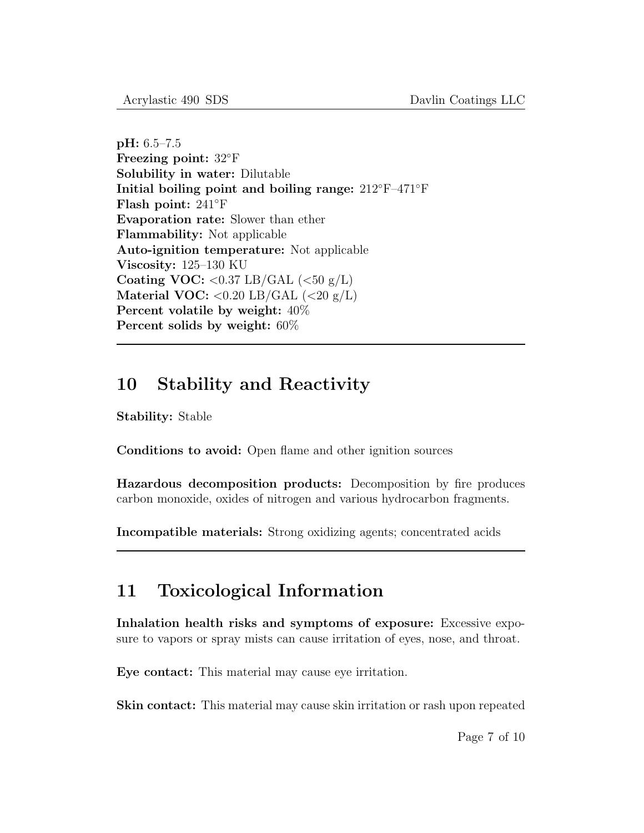pH: 6.5–7.5 Freezing point: 32◦F Solubility in water: Dilutable Initial boiling point and boiling range: 212◦F–471◦F Flash point: 241◦F Evaporation rate: Slower than ether Flammability: Not applicable Auto-ignition temperature: Not applicable Viscosity: 125–130 KU Coating VOC:  $< 0.37$  LB/GAL  $(< 50 \text{ g/L})$ Material VOC:  $< 0.20$  LB/GAL  $(< 20$  g/L) Percent volatile by weight: 40% Percent solids by weight: 60%

### 10 Stability and Reactivity

Stability: Stable

Conditions to avoid: Open flame and other ignition sources

Hazardous decomposition products: Decomposition by fire produces carbon monoxide, oxides of nitrogen and various hydrocarbon fragments.

Incompatible materials: Strong oxidizing agents; concentrated acids

## 11 Toxicological Information

Inhalation health risks and symptoms of exposure: Excessive exposure to vapors or spray mists can cause irritation of eyes, nose, and throat.

Eye contact: This material may cause eye irritation.

Skin contact: This material may cause skin irritation or rash upon repeated

Page 7 of 10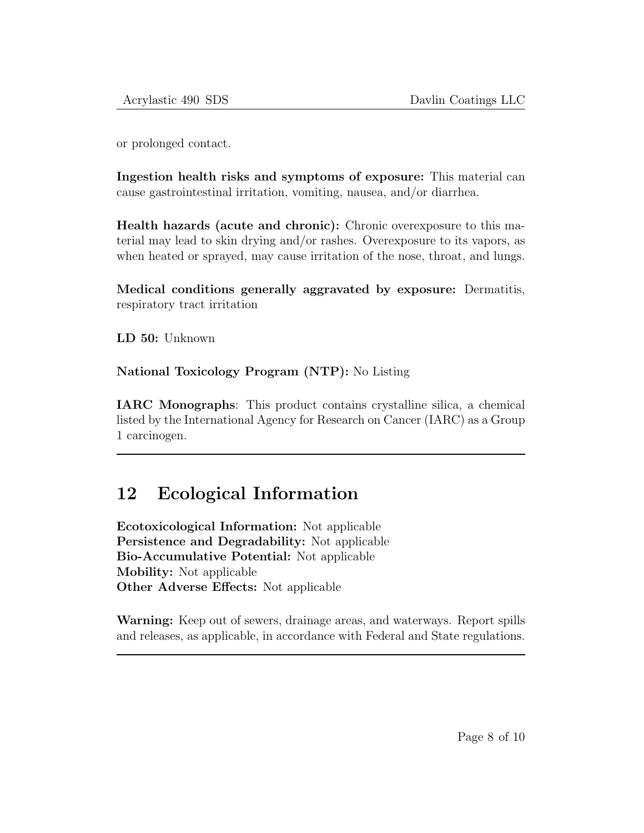or prolonged contact.

Ingestion health risks and symptoms of exposure: This material can cause gastrointestinal irritation, vomiting, nausea, and/or diarrhea.

Health hazards (acute and chronic): Chronic overexposure to this material may lead to skin drying and/or rashes. Overexposure to its vapors, as when heated or sprayed, may cause irritation of the nose, throat, and lungs.

Medical conditions generally aggravated by exposure: Dermatitis, respiratory tract irritation

LD 50: Unknown

National Toxicology Program (NTP): No Listing

IARC Monographs: This product contains crystalline silica, a chemical listed by the International Agency for Research on Cancer (IARC) as a Group 1 carcinogen.

## 12 Ecological Information

Ecotoxicological Information: Not applicable Persistence and Degradability: Not applicable Bio-Accumulative Potential: Not applicable Mobility: Not applicable Other Adverse Effects: Not applicable

Warning: Keep out of sewers, drainage areas, and waterways. Report spills and releases, as applicable, in accordance with Federal and State regulations.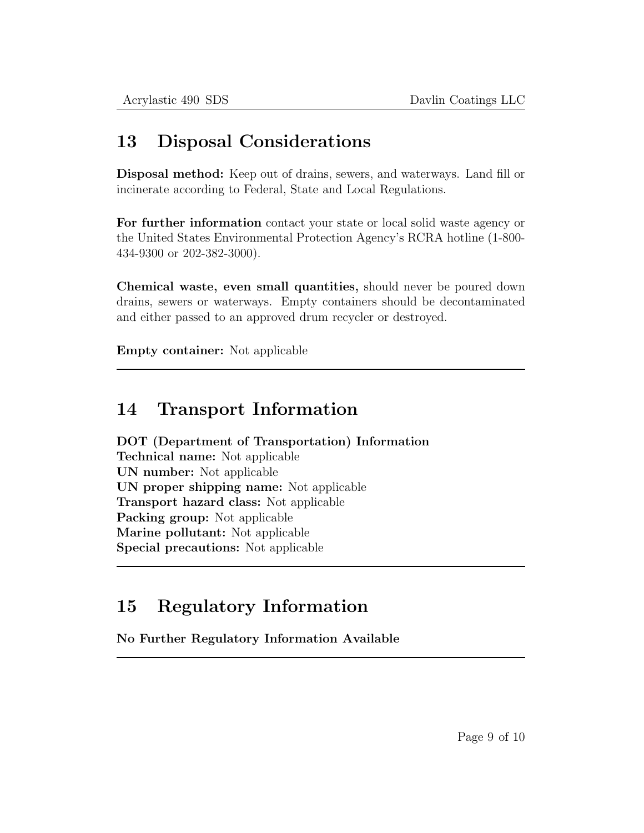### 13 Disposal Considerations

Disposal method: Keep out of drains, sewers, and waterways. Land fill or incinerate according to Federal, State and Local Regulations.

For further information contact your state or local solid waste agency or the United States Environmental Protection Agency's RCRA hotline (1-800- 434-9300 or 202-382-3000).

Chemical waste, even small quantities, should never be poured down drains, sewers or waterways. Empty containers should be decontaminated and either passed to an approved drum recycler or destroyed.

Empty container: Not applicable

### 14 Transport Information

DOT (Department of Transportation) Information Technical name: Not applicable UN number: Not applicable UN proper shipping name: Not applicable Transport hazard class: Not applicable Packing group: Not applicable Marine pollutant: Not applicable Special precautions: Not applicable

## 15 Regulatory Information

No Further Regulatory Information Available

Page 9 of 10